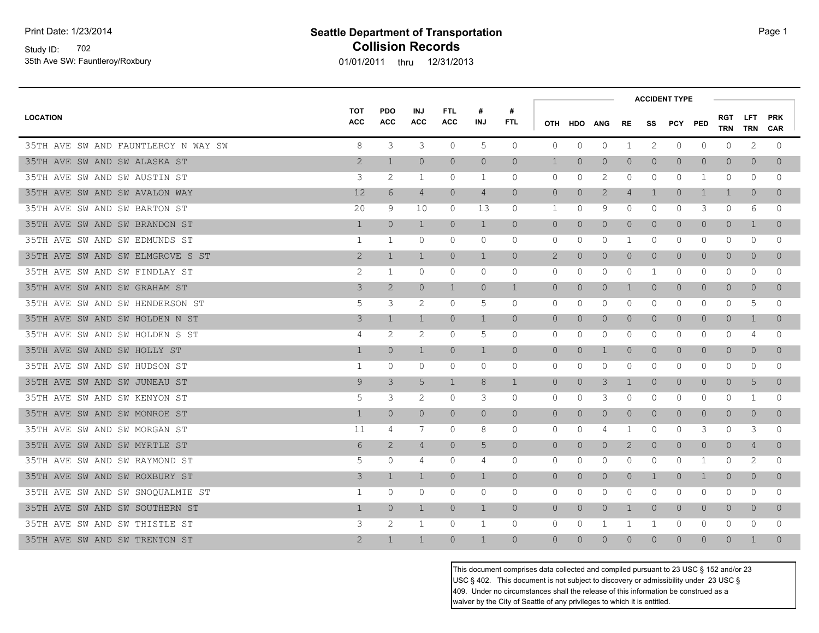Study ID: 702 35th Ave SW: Fauntleroy/Roxbury

# **Seattle Department of Transportation Page 1 Collision Records**

01/01/2011 thru 12/31/2013

|                                     |                          |                          |                          |                          |                 |                 |                |                |                |                |                | <b>ACCIDENT TYPE</b> |                |                   |                |                          |  |
|-------------------------------------|--------------------------|--------------------------|--------------------------|--------------------------|-----------------|-----------------|----------------|----------------|----------------|----------------|----------------|----------------------|----------------|-------------------|----------------|--------------------------|--|
| <b>LOCATION</b>                     | <b>TOT</b><br><b>ACC</b> | <b>PDO</b><br><b>ACC</b> | <b>INJ</b><br><b>ACC</b> | <b>FTL</b><br><b>ACC</b> | #<br><b>INJ</b> | #<br><b>FTL</b> |                | OTH HDO        | <b>ANG</b>     | <b>RE</b>      | SS             | <b>PCY PED</b>       |                | <b>RGT</b><br>TRN | LFT.<br>TRN    | <b>PRK</b><br><b>CAR</b> |  |
| 35TH AVE SW AND FAUNTLEROY N WAY SW | 8                        | 3                        | 3                        | $\circ$                  | 5               | $\circ$         | $\mathbf{0}$   | $\mathbf 0$    | 0              | $\mathbf 1$    | 2              | $\circ$              | 0              | $\circ$           | 2              | 0                        |  |
| 35TH AVE SW AND SW ALASKA ST        | 2                        | $\mathbf 1$              | $\overline{0}$           | $\overline{0}$           | $\overline{0}$  | $\overline{0}$  | $\mathbf 1$    | $\overline{0}$ | $\overline{0}$ | $\circ$        | $\overline{0}$ | $\circ$              | $\overline{0}$ | $\circ$           | $\overline{0}$ | $\Omega$                 |  |
| 35TH AVE SW AND SW AUSTIN ST        | 3                        | 2                        | 1                        | 0                        | 1               | $\circ$         | 0              | 0              | 2              | 0              | 0              | 0                    | 1              | 0                 | 0              | $\Omega$                 |  |
| 35TH AVE SW AND SW AVALON WAY       | $12 \overline{ }$        | 6                        | $\overline{4}$           | $\Omega$                 | $\overline{4}$  | $\Omega$        | $\overline{0}$ | $\circ$        | 2              | $\overline{4}$ | $\mathbf{1}$   | $\circ$              | 1              | 1                 | $\Omega$       | $\Omega$                 |  |
| 35TH AVE SW AND SW BARTON ST        | 20                       | 9                        | 10                       | 0                        | 13              | $\circ$         | 1              | 0              | 9              | 0              | $\Omega$       | $\mathbf{0}$         | 3              | $\circ$           | 6              | $\Omega$                 |  |
| 35TH AVE SW AND SW BRANDON ST       | $\mathbf{1}$             | $\overline{0}$           | $\mathbf{1}$             | $\overline{0}$           | $\mathbf{1}$    | $\overline{0}$  | $\overline{0}$ | $\overline{0}$ | $\overline{0}$ | $\circ$        | $\overline{0}$ | $\overline{0}$       | $\overline{0}$ | $\overline{0}$    | $\mathbf{1}$   | $\Omega$                 |  |
| 35TH AVE SW AND SW EDMUNDS ST       | 1                        | 1                        | $\mathbf{0}$             | $\circ$                  | $\mathbf 0$     | $\circ$         | $\mathbf{0}$   | $\mathbf 0$    | $\mathbf{0}$   | $\mathbf{1}$   | $\mathbf{0}$   | $\mathbf{0}$         | $\circ$        | $\circ$           | $\circ$        | $\Omega$                 |  |
| 35TH AVE SW AND SW ELMGROVE S ST    | $\mathbf{2}$             | $\mathbf{1}$             | $\mathbf{1}$             | $\Omega$                 | $\mathbf{1}$    | $\circ$         | $\mathbf{2}$   | $\theta$       | $\overline{0}$ | $\circ$        | $\Omega$       | $\circ$              | $\overline{0}$ | $\circ$           | $\overline{0}$ | $\Omega$                 |  |
| 35TH AVE SW AND SW FINDLAY ST       | 2                        | 1                        | 0                        | 0                        | 0               | $\circ$         | 0              | 0              | 0              | 0              | 1              | $\mathbf 0$          | 0              | 0                 | 0              | 0                        |  |
| 35TH AVE SW AND SW GRAHAM ST        | 3                        | 2                        | $\overline{0}$           | $\mathbf{1}$             | $\overline{0}$  | $\mathbf{1}$    | $\overline{0}$ | $\overline{0}$ | $\circ$        | $\mathbf 1$    | $\Omega$       | $\circ$              | $\overline{0}$ | $\circ$           | $\overline{0}$ | $\Omega$                 |  |
| 35TH AVE SW AND SW HENDERSON ST     | 5                        | 3                        | 2                        | 0                        | 5               | $\circ$         | $\circ$        | 0              | $\mathbf{0}$   | $\mathbf{0}$   | $\mathbf{0}$   | $\circ$              | 0              | $\circ$           | 5              | $\Omega$                 |  |
| 35TH AVE SW AND SW HOLDEN N ST      | 3                        | $\mathbf 1$              | $\mathbf{1}$             | $\Omega$                 | $\mathbf{1}$    | $\Omega$        | $\overline{0}$ | $\overline{0}$ | $\circ$        | $\circ$        | $\Omega$       | $\circ$              | $\Omega$       | $\circ$           | $\mathbf 1$    | $\Omega$                 |  |
| 35TH AVE SW AND SW HOLDEN S ST      | 4                        | 2                        | 2                        | 0                        | 5               | $\circ$         | $\mathbf{0}$   | 0              | $\mathbf{0}$   | 0              | 0              | 0                    | 0              | $\circ$           | 4              | $\Omega$                 |  |
| 35TH AVE SW AND SW HOLLY ST         | $\mathbf{1}$             | $\overline{0}$           | $\mathbf{1}$             | $\overline{0}$           | $\mathbf{1}$    | $\circ$         | $\overline{0}$ | $\overline{0}$ | $\mathbf 1$    | $\overline{0}$ | $\overline{0}$ | $\overline{0}$       | $\overline{0}$ | $\overline{0}$    | $\overline{0}$ | $\overline{0}$           |  |
| 35TH AVE SW AND SW HUDSON ST        | 1                        | 0                        | $\mathbf{0}$             | $\circ$                  | $\circ$         | $\circ$         | $\mathbf{0}$   | 0              | $\mathbf{0}$   | 0              | $\Omega$       | $\mathbf{0}$         | 0              | 0                 | 0              | $\Omega$                 |  |
| 35TH AVE SW AND SW JUNEAU ST        | 9                        | 3                        | 5                        | $\mathbf{1}$             | 8               | $\mathbf{1}$    | $\Omega$       | $\overline{0}$ | 3              | $\mathbf{1}$   | $\Omega$       | $\circ$              | $\overline{0}$ | $\circ$           | 5              | $\Omega$                 |  |
| 35TH AVE SW AND SW KENYON ST        | 5                        | 3                        | 2                        | 0                        | 3               | $\circ$         | 0              | 0              | 3              | 0              | 0              | 0                    | 0              | 0                 | 1              | 0                        |  |
| 35TH AVE SW AND SW MONROE ST        | $\mathbf{1}$             | $\overline{0}$           | $\overline{0}$           | $\overline{0}$           | $\overline{0}$  | $\overline{0}$  | $\overline{0}$ | $\overline{0}$ | $\overline{0}$ | $\circ$        | $\circ$        | $\overline{0}$       | $\overline{0}$ | $\circ$           | $\overline{0}$ | $\Omega$                 |  |
| 35TH AVE SW AND SW MORGAN ST        | 11                       | 4                        | 7                        | 0                        | 8               | $\mathbf 0$     | $\mathbf{0}$   | $\circ$        | 4              | $\mathbf 1$    | $\mathbf{0}$   | 0                    | 3              | 0                 | 3              | $\Omega$                 |  |
| 35TH AVE SW AND SW MYRTLE ST        | 6                        | 2                        | 4                        | $\overline{0}$           | 5               | $\circ$         | $\circ$        | $\circ$        | 0              | 2              | $\Omega$       | $\circ$              | $\theta$       | $\circ$           | 4              | $\Omega$                 |  |
| 35TH AVE SW AND SW RAYMOND ST       | 5                        | 0                        | 4                        | 0                        | 4               | 0               | $\mathbf{0}$   | 0              | 0              | 0              | 0              | $\mathbf 0$          | 1              | 0                 | 2              | 0                        |  |
| 35TH AVE SW AND SW ROXBURY ST       | 3                        | $\mathbf{1}$             | $\mathbf{1}$             | $\overline{0}$           | $\mathbf{1}$    | $\overline{0}$  | $\circ$        | $\overline{0}$ | $\overline{0}$ | $\overline{0}$ | $\mathbf 1$    | $\overline{0}$       | $\mathbf{1}$   | $\circ$           | $\circ$        | $\Omega$                 |  |
| 35TH AVE SW AND SW SNOQUALMIE ST    | $\mathbf{1}$             | $\circ$                  | $\circ$                  | $\circ$                  | $\mathbf{0}$    | $\mathbf 0$     | $\mathbf{0}$   | $\mathbf 0$    | $\mathbf{0}$   | $\mathbf{0}$   | 0              | $\mathbf{0}$         | $\circ$        | $\circ$           | $\circ$        | $\Omega$                 |  |
| 35TH AVE SW AND SW SOUTHERN ST      | $\mathbf{1}$             | $\Omega$                 | $\mathbf{1}$             | $\overline{0}$           | $\mathbf{1}$    | $\circ$         | $\overline{0}$ | $\overline{0}$ | $\overline{0}$ | $\mathbf 1$    | $\Omega$       | $\overline{0}$       | $\Omega$       | $\circ$           | $\circ$        | $\Omega$                 |  |
| 35TH AVE SW AND SW THISTLE ST       | 3                        | 2                        | 1                        | $\circ$                  | 1               | $\circ$         | $\mathbf{0}$   | 0              | 1              | 1              | 1              | $\mathbf{0}$         | 0              | $\circ$           | $\circ$        | $\Omega$                 |  |
| 35TH AVE SW AND SW TRENTON ST       | $\mathbf{2}$             | $\mathbf{1}$             | $\mathbf{1}$             | $\overline{0}$           | $\mathbf{1}$    | $\Omega$        | $\overline{0}$ | $\Omega$       | $\Omega$       | 0              | $\Omega$       | $\overline{0}$       | $\Omega$       | 0                 | 1              | $\Omega$                 |  |

This document comprises data collected and compiled pursuant to 23 USC § 152 and/or 23 USC § 402. This document is not subject to discovery or admissibility under 23 USC § 409. Under no circumstances shall the release of this information be construed as a waiver by the City of Seattle of any privileges to which it is entitled.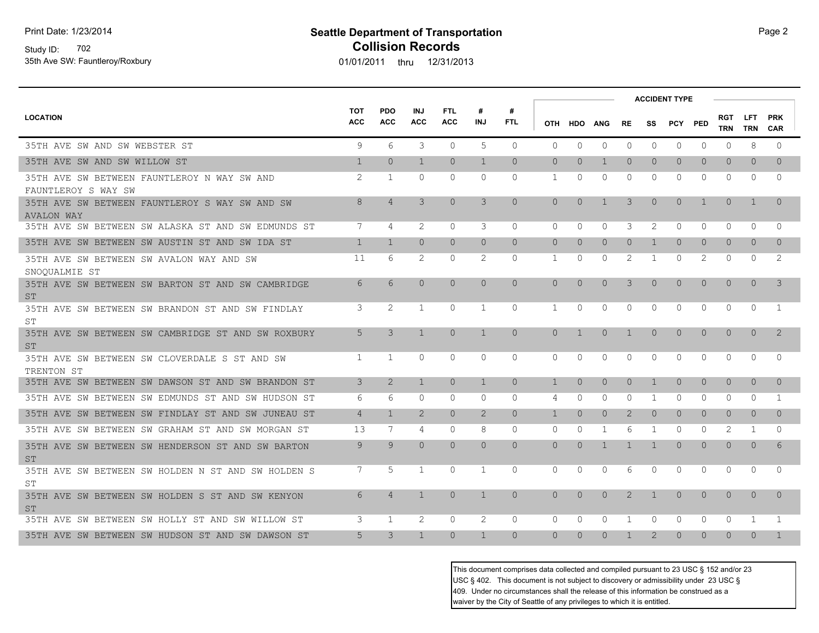Study ID: 702 35th Ave SW: Fauntleroy/Roxbury

# **Seattle Department of Transportation Page 2** Page 2 **Collision Records**

01/01/2011 thru 12/31/2013

|                                                                     |                          |                          |                          |                          |                 |                 |                |                |                |                |                | <b>ACCIDENT TYPE</b> |            |                          |                          |                          |  |
|---------------------------------------------------------------------|--------------------------|--------------------------|--------------------------|--------------------------|-----------------|-----------------|----------------|----------------|----------------|----------------|----------------|----------------------|------------|--------------------------|--------------------------|--------------------------|--|
| <b>LOCATION</b>                                                     | <b>TOT</b><br><b>ACC</b> | <b>PDO</b><br><b>ACC</b> | <b>INJ</b><br><b>ACC</b> | <b>FTL</b><br><b>ACC</b> | #<br><b>INJ</b> | #<br><b>FTL</b> | <b>OTH</b>     |                | HDO ANG        | RE.            | SS             | PCY                  | <b>PED</b> | <b>RGT</b><br><b>TRN</b> | <b>LFT</b><br><b>TRN</b> | <b>PRK</b><br><b>CAR</b> |  |
| 35TH AVE SW AND SW WEBSTER ST                                       | 9                        | 6                        | 3                        | $\Omega$                 | 5               | $\Omega$        | $\Omega$       | $\Omega$       | $\circ$        | 0              | $\Omega$       | $\Omega$             | $\Omega$   | $\Omega$                 | 8                        | $\Omega$                 |  |
| 35TH AVE SW AND SW WILLOW ST                                        | $\mathbf{1}$             | $\Omega$                 | $\mathbf{1}$             | $\Omega$                 | $\mathbf{1}$    | $\Omega$        | $\circ$        | $\Omega$       | 1              | $\Omega$       | $\Omega$       | $\overline{0}$       | $\bigcap$  | $\overline{0}$           | $\Omega$                 | $\Omega$                 |  |
| 35TH AVE SW BETWEEN FAUNTLEROY N WAY SW AND<br>FAUNTLEROY S WAY SW  | 2                        | 1                        | $\Omega$                 | $\Omega$                 | $\Omega$        | $\Omega$        | 1              | $\Omega$       | $\mathbf{0}$   | $\Omega$       | $\Omega$       | $\Omega$             | $\Omega$   | 0                        | $\Omega$                 | $\Omega$                 |  |
| 35TH AVE SW BETWEEN FAUNTLEROY S WAY SW AND SW<br><b>AVALON WAY</b> | 8                        | $\overline{4}$           | 3                        | $\overline{0}$           | 3               | $\overline{0}$  | $\overline{0}$ | $\Omega$       | $\mathbf{1}$   | 3              | $\circ$        | $\Omega$             | 1          | $\mathbf{0}$             | $\mathbf{1}$             | $\Omega$                 |  |
| 35TH AVE SW BETWEEN SW ALASKA ST AND SW EDMUNDS ST                  | 7                        | 4                        | 2                        | $\Omega$                 | 3               | $\Omega$        | $\Omega$       | $\Omega$       | $\circ$        | 3              | 2              | 0                    | $\Omega$   | $\Omega$                 | $\Omega$                 | $\Omega$                 |  |
| 35TH AVE SW BETWEEN SW AUSTIN ST AND SW IDA ST                      | $\mathbf{1}$             | $\mathbf{1}$             | $\Omega$                 | $\Omega$                 | $\overline{0}$  | $\Omega$        | $\Omega$       | $\Omega$       | $\circ$        | $\overline{0}$ | $\mathbf{1}$   | $\overline{0}$       | $\Omega$   | $\overline{0}$           | $\overline{0}$           | $\Omega$                 |  |
| 35TH AVE SW BETWEEN SW AVALON WAY AND SW<br>SNOQUALMIE ST           | 11                       | 6                        | 2                        | $\Omega$                 | 2               | 0               | $\mathbf{1}$   | $\Omega$       | $\mathbf{0}$   | 2              | 1              | $\Omega$             | 2          | $\Omega$                 | $\Omega$                 | 2                        |  |
| 35TH AVE SW BETWEEN SW BARTON ST AND SW CAMBRIDGE<br><b>ST</b>      | 6                        | 6                        | $\Omega$                 | $\Omega$                 | $\Omega$        | $\Omega$        | $\Omega$       | $\Omega$       | $\overline{0}$ | 3              | $\Omega$       | $\Omega$             | $\Omega$   | $\overline{0}$           | $\Omega$                 | 3                        |  |
| 35TH AVE SW BETWEEN SW BRANDON ST AND SW FINDLAY<br>ST              | 3                        | 2                        | 1                        | $\Omega$                 | 1               | $\Omega$        | 1              | $\Omega$       | 0              | 0              | $\Omega$       | $\Omega$             | $\Omega$   | $\Omega$                 | $\Omega$                 | -1                       |  |
| 35TH AVE SW BETWEEN SW CAMBRIDGE ST AND SW ROXBURY<br><b>ST</b>     | 5                        | 3                        | $\mathbf{1}$             | $\Omega$                 | $\mathbf{1}$    | $\Omega$        | $\Omega$       | $\overline{1}$ | $\overline{0}$ | $\mathbf{1}$   | $\Omega$       | $\overline{0}$       | $\Omega$   | $\mathbf{0}$             | $\overline{0}$           | 2                        |  |
| 35TH AVE SW BETWEEN SW CLOVERDALE S ST AND SW<br>TRENTON ST         | 1                        | $\mathbf{1}$             | 0                        | $\mathbf{0}$             | $\mathbf{0}$    | $\circ$         | $\Omega$       | $\Omega$       | 0              | 0              | $\Omega$       | $\Omega$             | $\Omega$   | 0                        | $\mathbf{0}$             | $\Omega$                 |  |
| 35TH AVE SW BETWEEN SW DAWSON ST AND SW BRANDON ST                  | 3                        | 2                        | $\mathbf{1}$             | $\Omega$                 | $\mathbf{1}$    | $\Omega$        | $\mathbf{1}$   | $\Omega$       | $\circ$        | $\overline{0}$ | $\mathbf{1}$   | $\overline{0}$       | $\Omega$   | $\overline{0}$           | $\overline{0}$           | $\Omega$                 |  |
| 35TH AVE SW BETWEEN SW EDMUNDS ST AND SW HUDSON ST                  | 6                        | 6                        | $\Omega$                 | $\Omega$                 | $\Omega$        | $\Omega$        | 4              | $\Omega$       | $\Omega$       | $\Omega$       | $\mathbf{1}$   | $\Omega$             | $\Omega$   | $\Omega$                 | $\Omega$                 | $\mathbf{1}$             |  |
| 35TH AVE SW BETWEEN SW FINDLAY ST AND SW JUNEAU ST                  | $\overline{4}$           | $\mathbf{1}$             | 2                        | $\Omega$                 | $\overline{2}$  | $\Omega$        | $\mathbf{1}$   | $\Omega$       | $\circ$        | $\mathbf{2}$   | $\overline{0}$ | $\overline{0}$       | $\Omega$   | $\overline{0}$           | $\Omega$                 | $\Omega$                 |  |
| 35TH AVE SW BETWEEN SW GRAHAM ST AND SW MORGAN ST                   | 13                       | 7                        | 4                        | $\Omega$                 | 8               | $\Omega$        | $\Omega$       | $\Omega$       | 1              | 6              | 1              | $\Omega$             | $\Omega$   | 2                        | 1                        | $\Omega$                 |  |
| 35TH AVE SW BETWEEN SW HENDERSON ST AND SW BARTON<br><b>ST</b>      | $\mathsf{Q}$             | $\mathsf{Q}$             | $\Omega$                 | $\Omega$                 | $\Omega$        | $\Omega$        | $\Omega$       | $\Omega$       | $\mathbf{1}$   | $\mathbf{1}$   | $\mathbf{1}$   | $\Omega$             | $\Omega$   | $\Omega$                 | $\Omega$                 | 6                        |  |
| 35TH AVE SW BETWEEN SW HOLDEN N ST AND SW HOLDEN S<br>ST            | 7                        | .5                       | $\mathbf{1}$             | $\Omega$                 | 1               | $\Omega$        | $\Omega$       | $\Omega$       | $\Omega$       | 6              | $\Omega$       | $\Omega$             | $\Omega$   | $\Omega$                 | $\Omega$                 | $\cap$                   |  |
| 35TH AVE SW BETWEEN SW HOLDEN S ST AND SW KENYON<br><b>ST</b>       | 6                        | $\overline{4}$           | $\mathbf{1}$             | $\Omega$                 | $\mathbf{1}$    | $\Omega$        | $\Omega$       | $\Omega$       | $\Omega$       | $\mathcal{P}$  | 1              | $\Omega$             | $\Omega$   | $\Omega$                 | $\Omega$                 | $\Omega$                 |  |
| 35TH AVE SW BETWEEN SW HOLLY ST AND SW WILLOW ST                    | 3                        | -1                       | 2                        | $\Omega$                 | 2               | $\Omega$        | $\Omega$       | $\Omega$       | 0              | 1              | $\Omega$       | $\Omega$             | $\Omega$   | $\Omega$                 | -1                       | -1                       |  |
| 35TH AVE SW BETWEEN SW HUDSON ST AND SW DAWSON ST                   | 5                        | 3                        | $\mathbf{1}$             | $\Omega$                 | $\mathbf{1}$    | $\Omega$        | $\Omega$       | $\Omega$       | $\overline{0}$ | 1              | 2              | $\Omega$             | $\Omega$   | $\Omega$                 | $\Omega$                 | $\mathbf{1}$             |  |

This document comprises data collected and compiled pursuant to 23 USC § 152 and/or 23 USC § 402. This document is not subject to discovery or admissibility under 23 USC § 409. Under no circumstances shall the release of this information be construed as a waiver by the City of Seattle of any privileges to which it is entitled.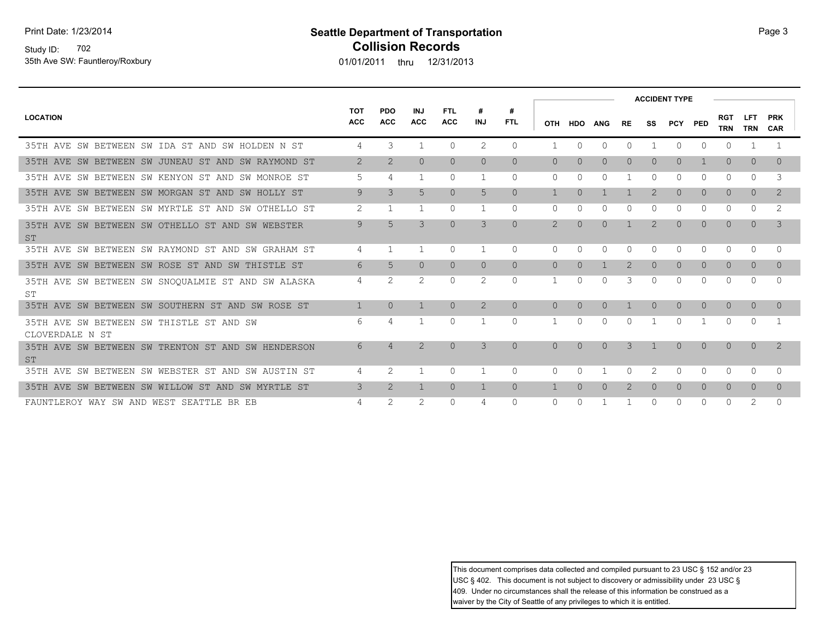Print Date: 1/23/2014

### Study ID: 702 35th Ave SW: Fauntleroy/Roxbury

## **Seattle Department of Transportation Page 3 Collision Records**

01/01/2011 thru 12/31/2013

|                                                                  |                          |                          |                          |                          |                |                 |                |           |                |                |                | <b>ACCIDENT TYPE</b> |                |                          |                    |                          |  |
|------------------------------------------------------------------|--------------------------|--------------------------|--------------------------|--------------------------|----------------|-----------------|----------------|-----------|----------------|----------------|----------------|----------------------|----------------|--------------------------|--------------------|--------------------------|--|
| <b>LOCATION</b>                                                  | <b>TOT</b><br><b>ACC</b> | <b>PDO</b><br><b>ACC</b> | <b>INJ</b><br><b>ACC</b> | <b>FTL</b><br><b>ACC</b> | #<br>INJ       | #<br><b>FTL</b> |                | OTH HDO   | <b>ANG</b>     | <b>RE</b>      | SS             | PCY PED              |                | <b>RGT</b><br><b>TRN</b> | LFT.<br><b>TRN</b> | <b>PRK</b><br><b>CAR</b> |  |
| 35TH AVE<br>BETWEEN SW IDA ST AND SW HOLDEN N ST<br>SW           | 4                        | 3                        | 1                        | $\Omega$                 | 2              | $\Omega$        |                | $\Omega$  | $\Omega$       | $\Omega$       |                | $\Omega$             | <sup>n</sup>   | 0                        |                    |                          |  |
| 35TH AVE SW BETWEEN SW JUNEAU ST AND SW RAYMOND ST               | 2                        | $\overline{2}$           | $\circ$                  | $\circ$                  | $\circ$        | $\Omega$        | $\Omega$       | $\Omega$  | $\overline{0}$ | $\overline{0}$ | $\Omega$       | $\circ$              |                | $\circ$                  | $\overline{0}$     | $\Omega$                 |  |
| 35TH AVE SW BETWEEN SW KENYON ST AND SW MONROE ST                | 5                        | 4                        | 1                        | $\Omega$                 | 1              | $\Omega$        | $\Omega$       | $\Omega$  | O              |                | $\Omega$       | $\Omega$             | $\Omega$       | $\Omega$                 | $\Omega$           | 3                        |  |
| AVE SW BETWEEN SW MORGAN ST AND SW HOLLY ST<br>35TH              | 9                        | 3                        | 5                        | $\overline{0}$           | 5              | $\Omega$        |                | $\bigcap$ |                |                | $\overline{2}$ | $\overline{0}$       | $\Omega$       | $\Omega$                 | $\Omega$           | 2                        |  |
| 35TH AVE SW BETWEEN SW MYRTLE ST AND SW OTHELLO ST               | 2                        | 1                        | 1                        | $\Omega$                 | 1              | $\Omega$        | $\Omega$       |           | O              | O              | $\Omega$       | $\Omega$             | $\Omega$       | $\Omega$                 | $\Omega$           | 2                        |  |
| AVE SW BETWEEN SW OTHELLO ST AND SW WEBSTER<br>35TH<br><b>ST</b> | 9                        | 5                        | 3                        | $\circ$                  | 3              | $\overline{0}$  | $\overline{2}$ | $\Omega$  | $\Omega$       |                | $\overline{2}$ | $\overline{0}$       | $\Omega$       | $\Omega$                 | $\Omega$           | 3                        |  |
| 35TH AVE SW BETWEEN SW RAYMOND ST AND SW GRAHAM ST               | 4                        | 1                        | $\mathbf{1}$             | $\Omega$                 | 1              | $\Omega$        | 0              | $\Omega$  | $\Omega$       | $\Omega$       | $\Omega$       | $\Omega$             | $\Omega$       | $\Omega$                 | $\Omega$           | $\Omega$                 |  |
| AVE SW BETWEEN SW ROSE ST AND SW THISTLE ST<br>35TH              | 6                        | 5                        | $\overline{0}$           | $\overline{0}$           | $\overline{0}$ | $\Omega$        | $\Omega$       | $\Omega$  |                | 2              | $\Omega$       | $\overline{0}$       | $\Omega$       | $\Omega$                 | $\overline{0}$     | $\Omega$                 |  |
| 35TH AVE SW BETWEEN SW SNOQUALMIE ST AND SW ALASKA<br>ST         | 4                        | 2                        | 2                        | $\Omega$                 | 2              | $\Omega$        | $\mathbf{1}$   | $\Omega$  | U              | 3              | $\Omega$       | $\Omega$             | $\Omega$       | $\Omega$                 | $\Omega$           | $\Omega$                 |  |
| SW BETWEEN SW SOUTHERN ST AND SW ROSE ST<br>AVE<br>35TH          | $\mathbf{1}$             | $\Omega$                 | $\mathbf{1}$             | $\Omega$                 | 2              | $\Omega$        | $\Omega$       | $\Omega$  | $\Omega$       |                | $\Omega$       | $\Omega$             | $\Omega$       | $\Omega$                 | $\Omega$           | $\Omega$                 |  |
| 35TH AVE SW BETWEEN SW THISTLE ST AND SW<br>CLOVERDALE N ST      | 6                        | 4                        | 1                        | $\Omega$                 |                | $\Omega$        |                | $\Omega$  | 0              | $\Omega$       |                | $\Omega$             |                | $\Omega$                 | $\Omega$           |                          |  |
| 35TH AVE SW BETWEEN SW TRENTON ST AND SW HENDERSON<br><b>ST</b>  | 6                        | $\overline{4}$           | $\overline{2}$           | $\Omega$                 | 3              | $\Omega$        | $\Omega$       | $\Omega$  | $\Omega$       | 3              | $\overline{1}$ | $\Omega$             | $\Omega$       | $\Omega$                 | $\Omega$           | 2                        |  |
| AVE SW BETWEEN SW WEBSTER ST AND SW AUSTIN ST<br>35TH            | 4                        | 2                        | 1                        | $\Omega$                 |                | $\Omega$        | 0              | n         |                | $\Omega$       | 2              | $\Omega$             | $\Omega$       | $\Omega$                 | $\Omega$           | $\Omega$                 |  |
| BETWEEN SW WILLOW ST AND SW MYRTLE ST<br>35TH<br>AVE<br>SW       | 3                        | $\overline{2}$           | 1                        | $\overline{0}$           | $\mathbf{1}$   | $\overline{0}$  |                | $\Omega$  | $\Omega$       | 2              | $\Omega$       | $\overline{0}$       | $\overline{0}$ | $\overline{0}$           | $\overline{0}$     | $\Omega$                 |  |
| FAUNTLEROY WAY SW AND WEST SEATTLE BR EB                         | 4                        | 2                        | 2                        | $\mathbf 0$              | 4              | $\Omega$        | 0              |           |                |                |                | 0                    | $\Omega$       | 0                        | 2                  | $\Omega$                 |  |

This document comprises data collected and compiled pursuant to 23 USC § 152 and/or 23 USC § 402. This document is not subject to discovery or admissibility under 23 USC § 409. Under no circumstances shall the release of this information be construed as a waiver by the City of Seattle of any privileges to which it is entitled.